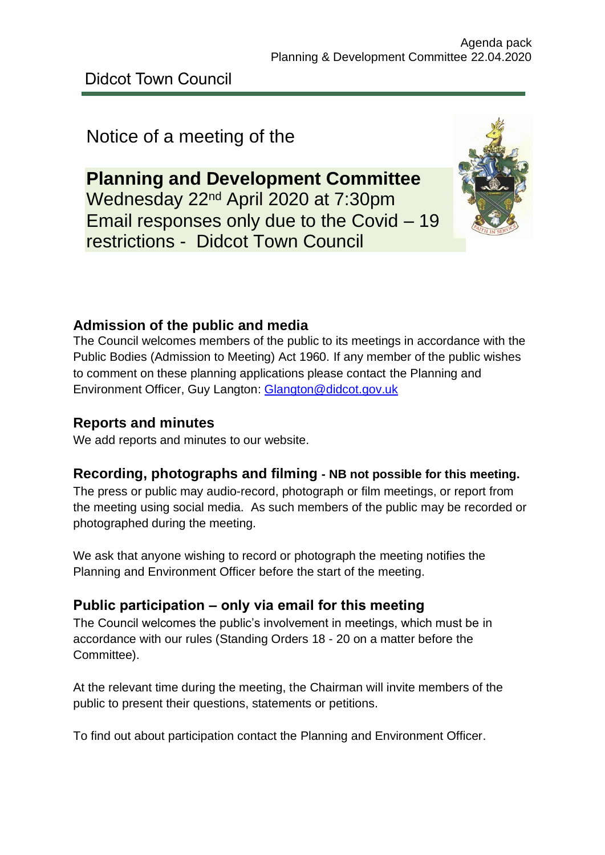# Notice of a meeting of the

**Planning and Development Committee** Wednesday 22nd April 2020 at 7:30pm Email responses only due to the Covid – 19 restrictions - Didcot Town Council



### **Admission of the public and media**

The Council welcomes members of the public to its meetings in accordance with the Public Bodies (Admission to Meeting) Act 1960. If any member of the public wishes to comment on these planning applications please contact the Planning and Environment Officer, Guy Langton: [Glangton@didcot.gov.uk](mailto:Glangton@didcot.gov.uk)

### **Reports and minutes**

We add reports and minutes to our website.

### **Recording, photographs and filming - NB not possible for this meeting.**

The press or public may audio-record, photograph or film meetings, or report from the meeting using social media. As such members of the public may be recorded or photographed during the meeting.

We ask that anyone wishing to record or photograph the meeting notifies the Planning and Environment Officer before the start of the meeting.

### **Public participation – only via email for this meeting**

The Council welcomes the public's involvement in meetings, which must be in accordance with our rules (Standing Orders 18 - 20 on a matter before the Committee).

At the relevant time during the meeting, the Chairman will invite members of the public to present their questions, statements or petitions.

To find out about participation contact the Planning and Environment Officer.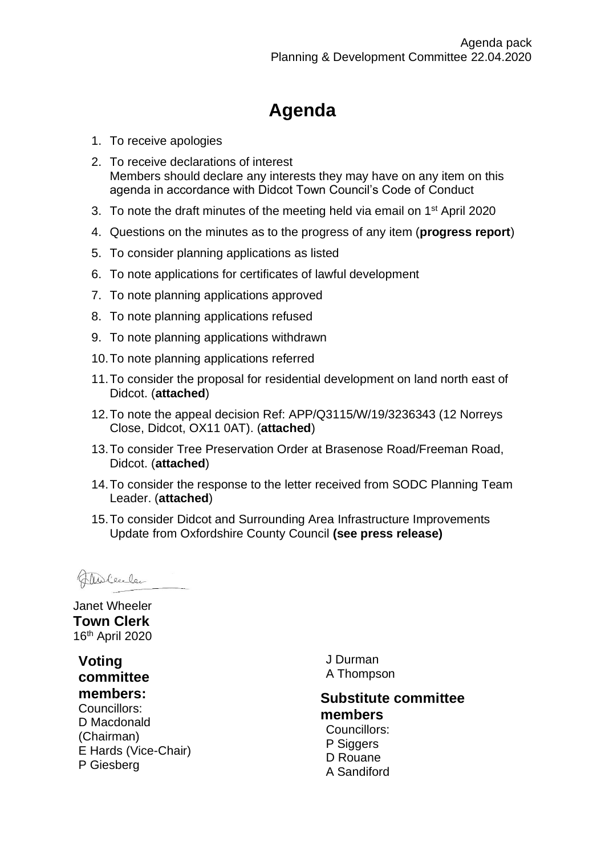# **Agenda**

- 1. To receive apologies
- 2. To receive declarations of interest Members should declare any interests they may have on any item on this agenda in accordance with Didcot Town Council's Code of Conduct
- 3. To note the draft minutes of the meeting held via email on 1<sup>st</sup> April 2020
- 4. Questions on the minutes as to the progress of any item (**progress report**)
- 5. To consider planning applications as listed
- 6. To note applications for certificates of lawful development
- 7. To note planning applications approved
- 8. To note planning applications refused
- 9. To note planning applications withdrawn
- 10.To note planning applications referred
- 11.To consider the proposal for residential development on land north east of Didcot. (**attached**)
- 12.To note the appeal decision Ref: APP/Q3115/W/19/3236343 (12 Norreys Close, Didcot, OX11 0AT). (**attached**)
- 13.To consider Tree Preservation Order at Brasenose Road/Freeman Road, Didcot. (**attached**)
- 14.To consider the response to the letter received from SODC Planning Team Leader. (**attached**)
- 15.To consider Didcot and Surrounding Area Infrastructure Improvements Update from Oxfordshire County Council **(see press release)**

Thelecler

Janet Wheeler **Town Clerk** 16th April 2020

**Voting committee members:** Councillors: D Macdonald (Chairman) E Hards (Vice-Chair) P Giesberg

J Durman A Thompson

#### **Substitute committee members**

Councillors: P Siggers D Rouane A Sandiford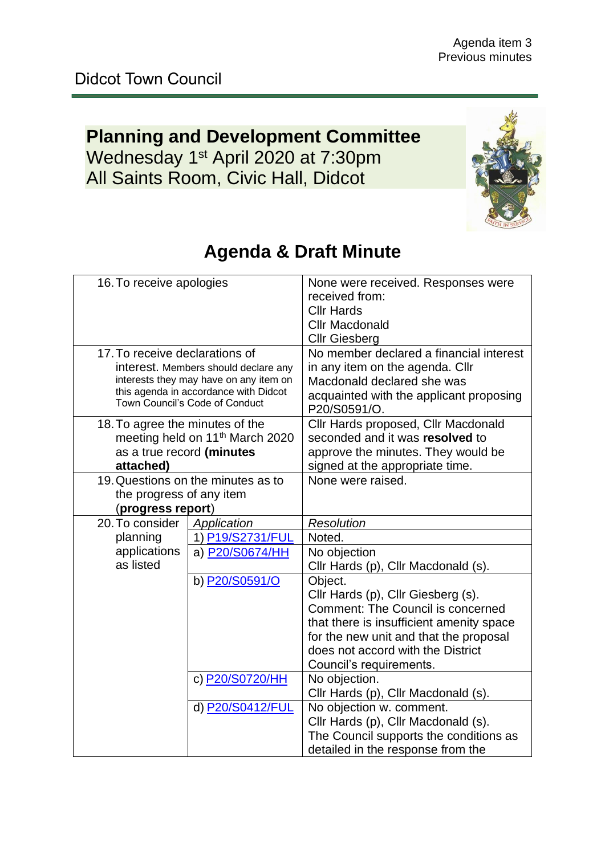# **Planning and Development Committee** Wednesday 1<sup>st</sup> April 2020 at 7:30pm All Saints Room, Civic Hall, Didcot



| 16. To receive apologies        |                                                                         | None were received. Responses were<br>received from: |
|---------------------------------|-------------------------------------------------------------------------|------------------------------------------------------|
|                                 |                                                                         | <b>Cllr Hards</b>                                    |
|                                 |                                                                         | <b>Cllr Macdonald</b>                                |
|                                 |                                                                         | <b>Cllr Giesberg</b>                                 |
| 17. To receive declarations of  |                                                                         | No member declared a financial interest              |
|                                 | interest. Members should declare any                                    | in any item on the agenda. Cllr                      |
|                                 | interests they may have on any item on                                  | Macdonald declared she was                           |
|                                 | this agenda in accordance with Didcot<br>Town Council's Code of Conduct | acquainted with the applicant proposing              |
|                                 |                                                                         | P20/S0591/O.                                         |
| 18. To agree the minutes of the |                                                                         | Cllr Hards proposed, Cllr Macdonald                  |
|                                 | meeting held on 11 <sup>th</sup> March 2020                             | seconded and it was resolved to                      |
| as a true record (minutes       |                                                                         | approve the minutes. They would be                   |
| attached)                       |                                                                         | signed at the appropriate time.                      |
|                                 | 19. Questions on the minutes as to                                      | None were raised.                                    |
| the progress of any item        |                                                                         |                                                      |
| (progress report)               |                                                                         |                                                      |
| 20. To consider                 | Application                                                             | Resolution                                           |
| planning                        | 1) P19/S2731/FUL                                                        | Noted.                                               |
| applications                    | a) P20/S0674/HH                                                         | No objection                                         |
| as listed                       |                                                                         | Cllr Hards (p), Cllr Macdonald (s).                  |
|                                 | b) P20/S0591/O                                                          | Object.                                              |
|                                 |                                                                         | Cllr Hards (p), Cllr Giesberg (s).                   |
|                                 |                                                                         | <b>Comment: The Council is concerned</b>             |
|                                 |                                                                         | that there is insufficient amenity space             |
|                                 |                                                                         | for the new unit and that the proposal               |
|                                 |                                                                         | does not accord with the District                    |
|                                 |                                                                         | Council's requirements.                              |
|                                 | c) P20/S0720/HH                                                         | No objection.                                        |
|                                 |                                                                         | Cllr Hards (p), Cllr Macdonald (s).                  |
|                                 | d) P20/S0412/FUL                                                        | No objection w. comment.                             |
|                                 |                                                                         | Cllr Hards (p), Cllr Macdonald (s).                  |
|                                 |                                                                         | The Council supports the conditions as               |
|                                 |                                                                         | detailed in the response from the                    |

# **Agenda & Draft Minute**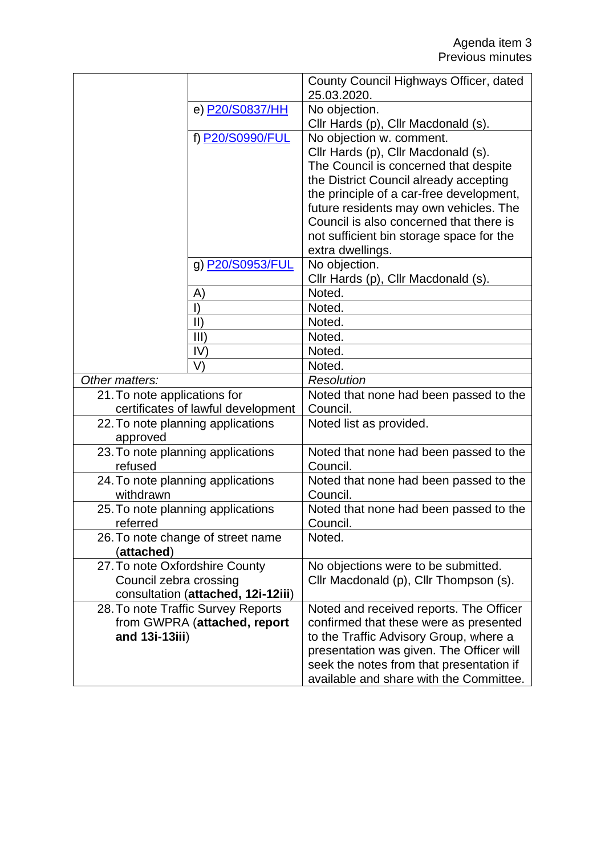|                                    |                  | County Council Highways Officer, dated<br>25.03.2020. |
|------------------------------------|------------------|-------------------------------------------------------|
|                                    | e) P20/S0837/HH  | No objection.                                         |
|                                    |                  | Cllr Hards (p), Cllr Macdonald (s).                   |
|                                    | f) P20/S0990/FUL | No objection w. comment.                              |
|                                    |                  | Cllr Hards (p), Cllr Macdonald (s).                   |
|                                    |                  | The Council is concerned that despite                 |
|                                    |                  | the District Council already accepting                |
|                                    |                  | the principle of a car-free development,              |
|                                    |                  | future residents may own vehicles. The                |
|                                    |                  | Council is also concerned that there is               |
|                                    |                  | not sufficient bin storage space for the              |
|                                    |                  | extra dwellings.                                      |
|                                    | g) P20/S0953/FUL | No objection.                                         |
|                                    |                  | Cllr Hards (p), Cllr Macdonald (s).                   |
| A)                                 |                  | Noted.                                                |
| $\vert$ )                          |                  | Noted.                                                |
| $\vert \vert$                      |                  | Noted.                                                |
| III)                               |                  | Noted.                                                |
| IV)                                |                  | Noted.                                                |
| V                                  |                  | Noted.                                                |
| Other matters:                     |                  | <b>Resolution</b>                                     |
| 21. To note applications for       |                  | Noted that none had been passed to the                |
| certificates of lawful development |                  | Council.                                              |
| 22. To note planning applications  |                  | Noted list as provided.                               |
| approved                           |                  |                                                       |
| 23. To note planning applications  |                  | Noted that none had been passed to the                |
| refused                            |                  | Council.                                              |
| 24. To note planning applications  |                  | Noted that none had been passed to the                |
| withdrawn                          |                  | Council.                                              |
| 25. To note planning applications  |                  | Noted that none had been passed to the                |
| referred                           |                  | Council.                                              |
| 26. To note change of street name  |                  | Noted.                                                |
| (attached)                         |                  |                                                       |
| 27. To note Oxfordshire County     |                  | No objections were to be submitted.                   |
| Council zebra crossing             |                  | Cllr Macdonald (p), Cllr Thompson (s).                |
| consultation (attached, 12i-12iii) |                  |                                                       |
| 28. To note Traffic Survey Reports |                  | Noted and received reports. The Officer               |
| from GWPRA (attached, report       |                  | confirmed that these were as presented                |
| and 13i-13iii)                     |                  | to the Traffic Advisory Group, where a                |
|                                    |                  | presentation was given. The Officer will              |
|                                    |                  | seek the notes from that presentation if              |
|                                    |                  | available and share with the Committee.               |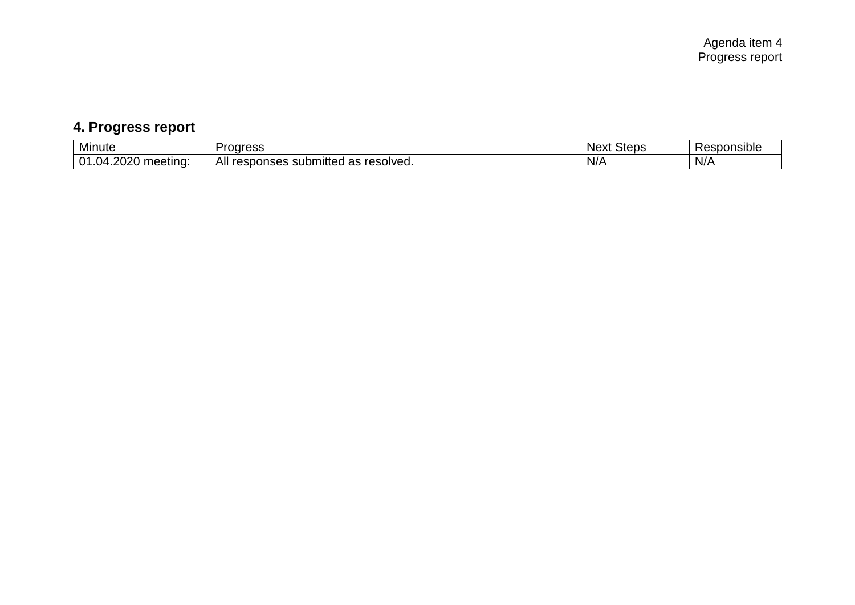# **4. Progress report**

| .                                                     | rogress                                                | <b>Steps</b> |                    |
|-------------------------------------------------------|--------------------------------------------------------|--------------|--------------------|
| Minute                                                | 000                                                    | <b>Next</b>  | <b>{esponsible</b> |
| റററ<br>.<br>.ስ1<br>∩⊿<br>meeting <sup>-</sup><br>20ZU | All<br>resolved.<br>submitted<br>ne<br>responses<br>d۵ | N/A          | $N$ /              |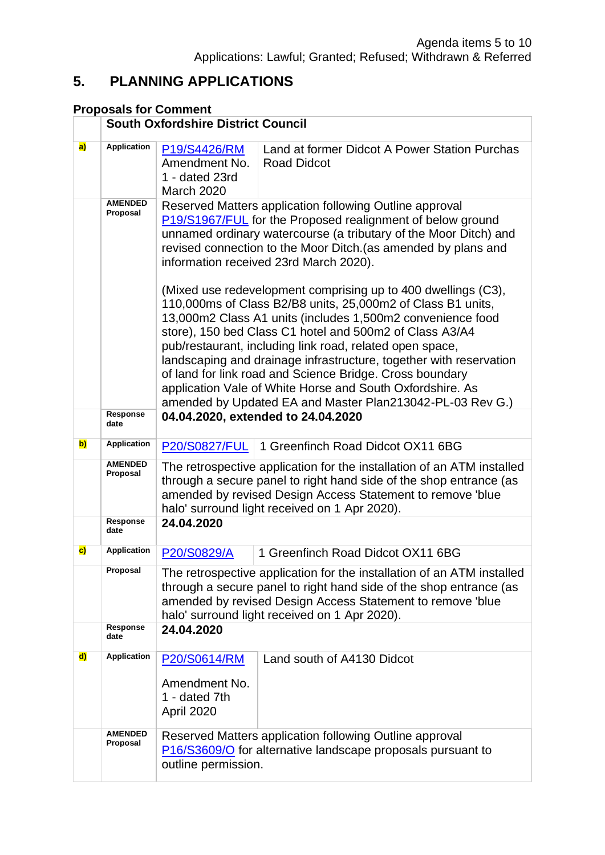## **5. PLANNING APPLICATIONS**

### **Proposals for Comment**

|              |                            | <b>South Oxfordshire District Council</b>                                                                                                                                                                                                                                                                                                                                                                                                                                                                                                                                     |                                                                     |  |
|--------------|----------------------------|-------------------------------------------------------------------------------------------------------------------------------------------------------------------------------------------------------------------------------------------------------------------------------------------------------------------------------------------------------------------------------------------------------------------------------------------------------------------------------------------------------------------------------------------------------------------------------|---------------------------------------------------------------------|--|
| a)           | <b>Application</b>         | P19/S4426/RM<br>Amendment No.<br>1 - dated 23rd<br><b>March 2020</b>                                                                                                                                                                                                                                                                                                                                                                                                                                                                                                          | Land at former Didcot A Power Station Purchas<br><b>Road Didcot</b> |  |
|              | <b>AMENDED</b><br>Proposal | Reserved Matters application following Outline approval<br>P19/S1967/FUL for the Proposed realignment of below ground<br>unnamed ordinary watercourse (a tributary of the Moor Ditch) and<br>revised connection to the Moor Ditch. (as amended by plans and<br>information received 23rd March 2020).                                                                                                                                                                                                                                                                         |                                                                     |  |
|              |                            | (Mixed use redevelopment comprising up to 400 dwellings (C3),<br>110,000ms of Class B2/B8 units, 25,000m2 of Class B1 units,<br>13,000m2 Class A1 units (includes 1,500m2 convenience food<br>store), 150 bed Class C1 hotel and 500m2 of Class A3/A4<br>pub/restaurant, including link road, related open space,<br>landscaping and drainage infrastructure, together with reservation<br>of land for link road and Science Bridge. Cross boundary<br>application Vale of White Horse and South Oxfordshire. As<br>amended by Updated EA and Master Plan213042-PL-03 Rev G.) |                                                                     |  |
|              | Response<br>date           | 04.04.2020, extended to 24.04.2020                                                                                                                                                                                                                                                                                                                                                                                                                                                                                                                                            |                                                                     |  |
| b)           | <b>Application</b>         | <b>P20/S0827/FUL</b>                                                                                                                                                                                                                                                                                                                                                                                                                                                                                                                                                          | 1 Greenfinch Road Didcot OX11 6BG                                   |  |
|              | <b>AMENDED</b><br>Proposal | The retrospective application for the installation of an ATM installed<br>through a secure panel to right hand side of the shop entrance (as<br>amended by revised Design Access Statement to remove 'blue<br>halo' surround light received on 1 Apr 2020).                                                                                                                                                                                                                                                                                                                   |                                                                     |  |
|              | Response<br>date           | 24.04.2020                                                                                                                                                                                                                                                                                                                                                                                                                                                                                                                                                                    |                                                                     |  |
| $\mathbf{c}$ | <b>Application</b>         | P20/S0829/A                                                                                                                                                                                                                                                                                                                                                                                                                                                                                                                                                                   | 1 Greenfinch Road Didcot OX11 6BG                                   |  |
|              | Proposal                   | The retrospective application for the installation of an ATM installed<br>through a secure panel to right hand side of the shop entrance (as<br>amended by revised Design Access Statement to remove 'blue<br>halo' surround light received on 1 Apr 2020).                                                                                                                                                                                                                                                                                                                   |                                                                     |  |
|              | Response<br>date           | 24.04.2020                                                                                                                                                                                                                                                                                                                                                                                                                                                                                                                                                                    |                                                                     |  |
| d)           | Application                | P20/S0614/RM<br>Amendment No.<br>1 - dated 7th<br>April 2020                                                                                                                                                                                                                                                                                                                                                                                                                                                                                                                  | Land south of A4130 Didcot                                          |  |
|              | <b>AMENDED</b><br>Proposal | Reserved Matters application following Outline approval<br>P16/S3609/O for alternative landscape proposals pursuant to<br>outline permission.                                                                                                                                                                                                                                                                                                                                                                                                                                 |                                                                     |  |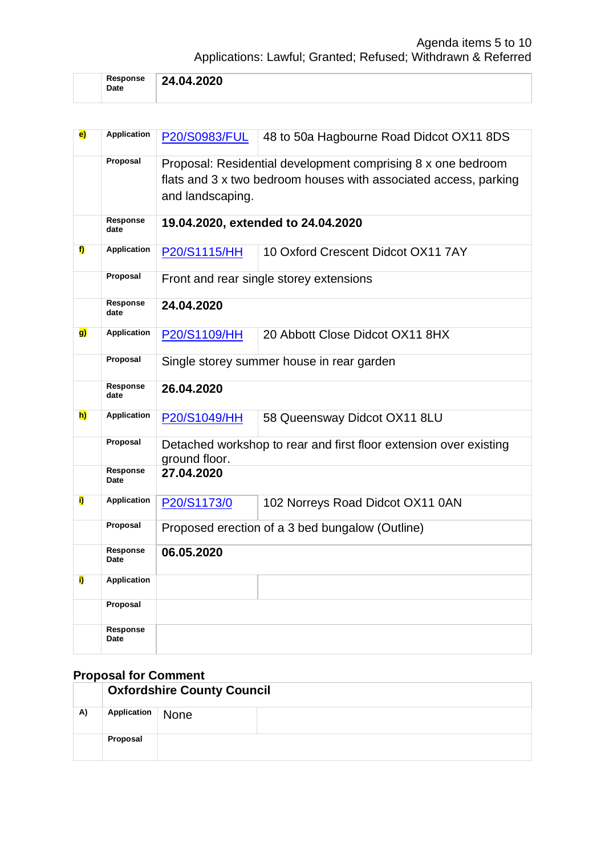| Response<br>Date | 24.04.2020 |
|------------------|------------|
|                  |            |

| $\mathbf{e}$ | <b>Application</b> | <b>P20/S0983/FUL</b>                                              | 48 to 50a Hagbourne Road Didcot OX11 8DS                         |  |
|--------------|--------------------|-------------------------------------------------------------------|------------------------------------------------------------------|--|
|              | Proposal           | Proposal: Residential development comprising 8 x one bedroom      |                                                                  |  |
|              |                    |                                                                   | flats and 3 x two bedroom houses with associated access, parking |  |
|              |                    |                                                                   |                                                                  |  |
|              |                    | and landscaping.                                                  |                                                                  |  |
|              | Response           |                                                                   | 19.04.2020, extended to 24.04.2020                               |  |
|              | date               |                                                                   |                                                                  |  |
| f)           | <b>Application</b> | P20/S1115/HH                                                      | 10 Oxford Crescent Didcot OX11 7AY                               |  |
|              |                    |                                                                   |                                                                  |  |
|              | Proposal           |                                                                   | Front and rear single storey extensions                          |  |
|              |                    |                                                                   |                                                                  |  |
|              | Response           | 24.04.2020                                                        |                                                                  |  |
|              | date               |                                                                   |                                                                  |  |
| g)           | Application        | <b>P20/S1109/HH</b>                                               | 20 Abbott Close Didcot OX11 8HX                                  |  |
|              |                    |                                                                   |                                                                  |  |
|              | Proposal           | Single storey summer house in rear garden                         |                                                                  |  |
|              |                    |                                                                   |                                                                  |  |
|              | <b>Response</b>    | 26.04.2020                                                        |                                                                  |  |
|              | date               |                                                                   |                                                                  |  |
| h)           | <b>Application</b> | P20/S1049/HH                                                      | 58 Queensway Didcot OX11 8LU                                     |  |
|              |                    |                                                                   |                                                                  |  |
|              | Proposal           | Detached workshop to rear and first floor extension over existing |                                                                  |  |
|              |                    | ground floor.                                                     |                                                                  |  |
|              | Response           | 27.04.2020                                                        |                                                                  |  |
|              | Date               |                                                                   |                                                                  |  |
| i)           | <b>Application</b> | P20/S1173/0                                                       | 102 Norreys Road Didcot OX11 0AN                                 |  |
|              |                    |                                                                   |                                                                  |  |
|              | Proposal           |                                                                   | Proposed erection of a 3 bed bungalow (Outline)                  |  |
|              | Response           |                                                                   |                                                                  |  |
|              | <b>Date</b>        | 06.05.2020                                                        |                                                                  |  |
| i)           | <b>Application</b> |                                                                   |                                                                  |  |
|              |                    |                                                                   |                                                                  |  |
|              | Proposal           |                                                                   |                                                                  |  |
|              |                    |                                                                   |                                                                  |  |
|              | Response<br>Date   |                                                                   |                                                                  |  |
|              |                    |                                                                   |                                                                  |  |

# **Proposal for Comment**

|    | <b>Oxfordshire County Council</b> |             |  |
|----|-----------------------------------|-------------|--|
| A) | Application                       | <b>None</b> |  |
|    | Proposal                          |             |  |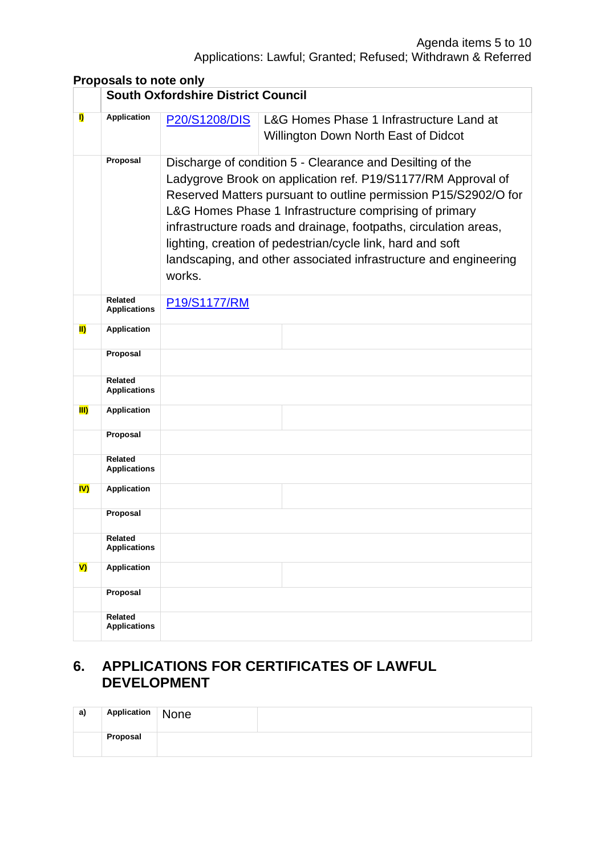#### **Proposals to note only**

|             | <b>South Oxfordshire District Council</b> |               |                                                                                                                                                                                                                                                                                                                                                                                                                                                              |  |
|-------------|-------------------------------------------|---------------|--------------------------------------------------------------------------------------------------------------------------------------------------------------------------------------------------------------------------------------------------------------------------------------------------------------------------------------------------------------------------------------------------------------------------------------------------------------|--|
| I)          | <b>Application</b>                        | P20/S1208/DIS | L&G Homes Phase 1 Infrastructure Land at<br>Willington Down North East of Didcot                                                                                                                                                                                                                                                                                                                                                                             |  |
|             | Proposal                                  | works.        | Discharge of condition 5 - Clearance and Desilting of the<br>Ladygrove Brook on application ref. P19/S1177/RM Approval of<br>Reserved Matters pursuant to outline permission P15/S2902/O for<br>L&G Homes Phase 1 Infrastructure comprising of primary<br>infrastructure roads and drainage, footpaths, circulation areas,<br>lighting, creation of pedestrian/cycle link, hard and soft<br>landscaping, and other associated infrastructure and engineering |  |
|             | Related<br><b>Applications</b>            | P19/S1177/RM  |                                                                                                                                                                                                                                                                                                                                                                                                                                                              |  |
| <b>II)</b>  | <b>Application</b>                        |               |                                                                                                                                                                                                                                                                                                                                                                                                                                                              |  |
|             | Proposal                                  |               |                                                                                                                                                                                                                                                                                                                                                                                                                                                              |  |
|             | <b>Related</b><br><b>Applications</b>     |               |                                                                                                                                                                                                                                                                                                                                                                                                                                                              |  |
| <b>III)</b> | <b>Application</b>                        |               |                                                                                                                                                                                                                                                                                                                                                                                                                                                              |  |
|             | Proposal                                  |               |                                                                                                                                                                                                                                                                                                                                                                                                                                                              |  |
|             | <b>Related</b><br><b>Applications</b>     |               |                                                                                                                                                                                                                                                                                                                                                                                                                                                              |  |
| IV)         | Application                               |               |                                                                                                                                                                                                                                                                                                                                                                                                                                                              |  |
|             | Proposal                                  |               |                                                                                                                                                                                                                                                                                                                                                                                                                                                              |  |
|             | Related<br><b>Applications</b>            |               |                                                                                                                                                                                                                                                                                                                                                                                                                                                              |  |
| V)          | <b>Application</b>                        |               |                                                                                                                                                                                                                                                                                                                                                                                                                                                              |  |
|             | Proposal                                  |               |                                                                                                                                                                                                                                                                                                                                                                                                                                                              |  |
|             | <b>Related</b><br><b>Applications</b>     |               |                                                                                                                                                                                                                                                                                                                                                                                                                                                              |  |

#### **6. APPLICATIONS FOR CERTIFICATES OF LAWFUL DEVELOPMENT**

| a) | Application | None |  |
|----|-------------|------|--|
|    | Proposal    |      |  |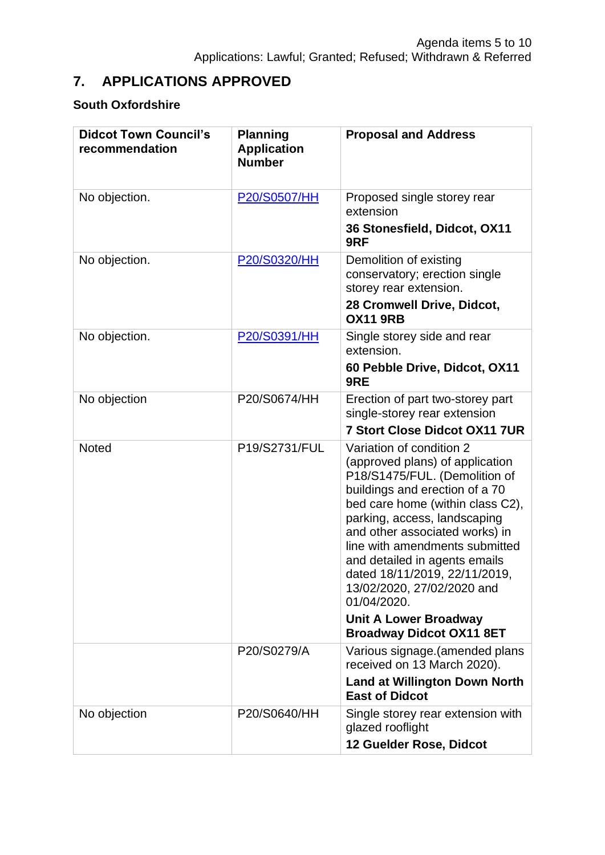# **7. APPLICATIONS APPROVED**

#### **South Oxfordshire**

| <b>Didcot Town Council's</b><br>recommendation | <b>Planning</b><br><b>Application</b><br><b>Number</b> | <b>Proposal and Address</b>                                                                                                                                                                                                                                                                                                                                                                                           |
|------------------------------------------------|--------------------------------------------------------|-----------------------------------------------------------------------------------------------------------------------------------------------------------------------------------------------------------------------------------------------------------------------------------------------------------------------------------------------------------------------------------------------------------------------|
| No objection.                                  | P20/S0507/HH                                           | Proposed single storey rear<br>extension<br>36 Stonesfield, Didcot, OX11<br>9RF                                                                                                                                                                                                                                                                                                                                       |
| No objection.                                  | P20/S0320/HH                                           | Demolition of existing<br>conservatory; erection single<br>storey rear extension.<br>28 Cromwell Drive, Didcot,<br><b>OX11 9RB</b>                                                                                                                                                                                                                                                                                    |
| No objection.                                  | P20/S0391/HH                                           | Single storey side and rear<br>extension.<br>60 Pebble Drive, Didcot, OX11<br>9RE                                                                                                                                                                                                                                                                                                                                     |
| No objection                                   | P20/S0674/HH                                           | Erection of part two-storey part<br>single-storey rear extension<br><b>7 Stort Close Didcot OX11 7UR</b>                                                                                                                                                                                                                                                                                                              |
| <b>Noted</b>                                   | P19/S2731/FUL                                          | Variation of condition 2<br>(approved plans) of application<br>P18/S1475/FUL. (Demolition of<br>buildings and erection of a 70<br>bed care home (within class C2),<br>parking, access, landscaping<br>and other associated works) in<br>line with amendments submitted<br>and detailed in agents emails<br>dated 18/11/2019, 22/11/2019,<br>13/02/2020, 27/02/2020 and<br>01/04/2020.<br><b>Unit A Lower Broadway</b> |
|                                                | P20/S0279/A                                            | <b>Broadway Didcot OX11 8ET</b><br>Various signage. (amended plans                                                                                                                                                                                                                                                                                                                                                    |
|                                                |                                                        | received on 13 March 2020).<br><b>Land at Willington Down North</b><br><b>East of Didcot</b>                                                                                                                                                                                                                                                                                                                          |
| No objection                                   | P20/S0640/HH                                           | Single storey rear extension with<br>glazed rooflight<br>12 Guelder Rose, Didcot                                                                                                                                                                                                                                                                                                                                      |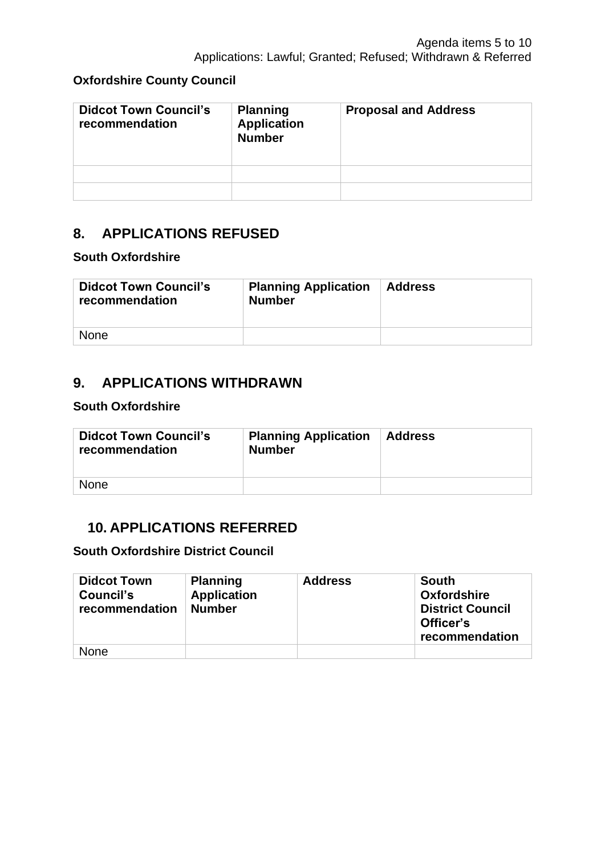#### **Oxfordshire County Council**

| <b>Didcot Town Council's</b><br>recommendation | <b>Planning</b><br><b>Application</b><br><b>Number</b> | <b>Proposal and Address</b> |
|------------------------------------------------|--------------------------------------------------------|-----------------------------|
|                                                |                                                        |                             |
|                                                |                                                        |                             |

### **8. APPLICATIONS REFUSED**

#### **South Oxfordshire**

| <b>Didcot Town Council's</b><br>recommendation | <b>Planning Application</b><br><b>Number</b> | <b>Address</b> |
|------------------------------------------------|----------------------------------------------|----------------|
| <b>None</b>                                    |                                              |                |

## **9. APPLICATIONS WITHDRAWN**

#### **South Oxfordshire**

| <b>Didcot Town Council's</b><br>recommendation | <b>Planning Application</b><br><b>Number</b> | <b>Address</b> |
|------------------------------------------------|----------------------------------------------|----------------|
| <b>None</b>                                    |                                              |                |

### **10. APPLICATIONS REFERRED**

**South Oxfordshire District Council**

| <b>Didcot Town</b><br>Council's<br>recommendation | <b>Planning</b><br><b>Application</b><br><b>Number</b> | <b>Address</b> | South<br><b>Oxfordshire</b><br><b>District Council</b><br>Officer's<br>recommendation |
|---------------------------------------------------|--------------------------------------------------------|----------------|---------------------------------------------------------------------------------------|
| <b>None</b>                                       |                                                        |                |                                                                                       |